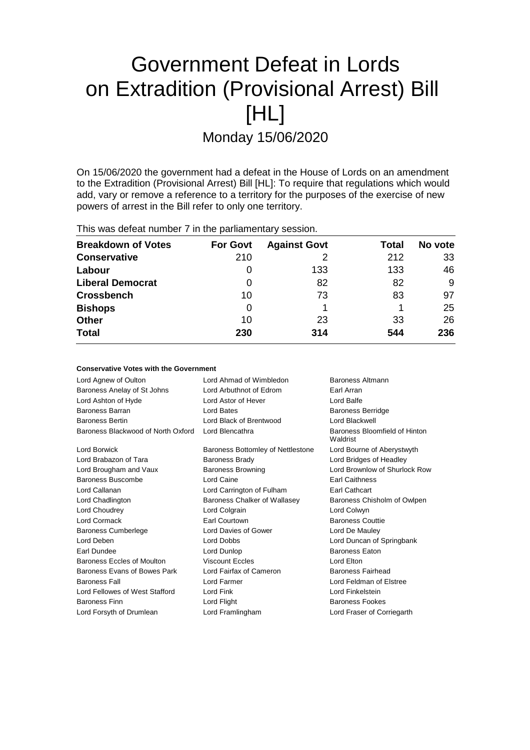# Government Defeat in Lords on Extradition (Provisional Arrest) Bill [HL]

Monday 15/06/2020

On 15/06/2020 the government had a defeat in the House of Lords on an amendment to the Extradition (Provisional Arrest) Bill [HL]: To require that regulations which would add, vary or remove a reference to a territory for the purposes of the exercise of new powers of arrest in the Bill refer to only one territory.

This was defeat number 7 in the parliamentary session.

| <b>Breakdown of Votes</b> | <b>For Govt</b> | <b>Against Govt</b> | Total | No vote |
|---------------------------|-----------------|---------------------|-------|---------|
| <b>Conservative</b>       | 210             |                     | 212   | 33      |
| Labour                    | O               | 133                 | 133   | 46      |
| <b>Liberal Democrat</b>   | 0               | 82                  | 82    | 9       |
| <b>Crossbench</b>         | 10              | 73                  | 83    | 97      |
| <b>Bishops</b>            | 0               |                     |       | 25      |
| <b>Other</b>              | 10              | 23                  | 33    | 26      |
| <b>Total</b>              | 230             | 314                 | 544   | 236     |

### **Conservative Votes with the Government**

| Lord Agnew of Oulton               | Lord Ahmad of Wimbledon<br>Baroness Altmann                     |                               |  |
|------------------------------------|-----------------------------------------------------------------|-------------------------------|--|
| Baroness Anelay of St Johns        | Lord Arbuthnot of Edrom<br>Earl Arran                           |                               |  |
| Lord Ashton of Hyde                | Lord Astor of Hever<br>Lord Balfe                               |                               |  |
| Baroness Barran                    | Lord Bates<br><b>Baroness Berridge</b>                          |                               |  |
| <b>Baroness Bertin</b>             | Lord Black of Brentwood                                         | Lord Blackwell                |  |
| Baroness Blackwood of North Oxford | Lord Blencathra<br>Baroness Bloomfield of Hinton<br>Waldrist    |                               |  |
| Lord Borwick                       | Baroness Bottomley of Nettlestone<br>Lord Bourne of Aberystwyth |                               |  |
| Lord Brabazon of Tara              | Baroness Brady                                                  | Lord Bridges of Headley       |  |
| Lord Brougham and Vaux             | <b>Baroness Browning</b>                                        | Lord Brownlow of Shurlock Row |  |
| Baroness Buscombe                  | Lord Caine                                                      | <b>Earl Caithness</b>         |  |
| Lord Callanan                      | Lord Carrington of Fulham                                       | Earl Cathcart                 |  |
| Lord Chadlington                   | Baroness Chalker of Wallasey                                    | Baroness Chisholm of Owlpen   |  |
| Lord Choudrey                      | Lord Colgrain                                                   | Lord Colwyn                   |  |
| Lord Cormack                       | Earl Courtown<br><b>Baroness Couttie</b>                        |                               |  |
| <b>Baroness Cumberlege</b>         | Lord Davies of Gower                                            | Lord De Mauley                |  |
| Lord Deben                         | Lord Dobbs<br>Lord Duncan of Springbank                         |                               |  |
| Earl Dundee                        | <b>Baroness Eaton</b><br>Lord Dunlop                            |                               |  |
| Baroness Eccles of Moulton         | <b>Viscount Eccles</b><br>Lord Elton                            |                               |  |
| Baroness Evans of Bowes Park       | Lord Fairfax of Cameron<br>Baroness Fairhead                    |                               |  |
| <b>Baroness Fall</b>               | Lord Farmer<br>Lord Feldman of Elstree                          |                               |  |
| Lord Fellowes of West Stafford     | Lord Fink<br>Lord Finkelstein                                   |                               |  |
| <b>Baroness Finn</b>               | Lord Flight<br><b>Baroness Fookes</b>                           |                               |  |
| Lord Forsyth of Drumlean           | Lord Framlingham<br>Lord Fraser of Corriegarth                  |                               |  |
|                                    |                                                                 |                               |  |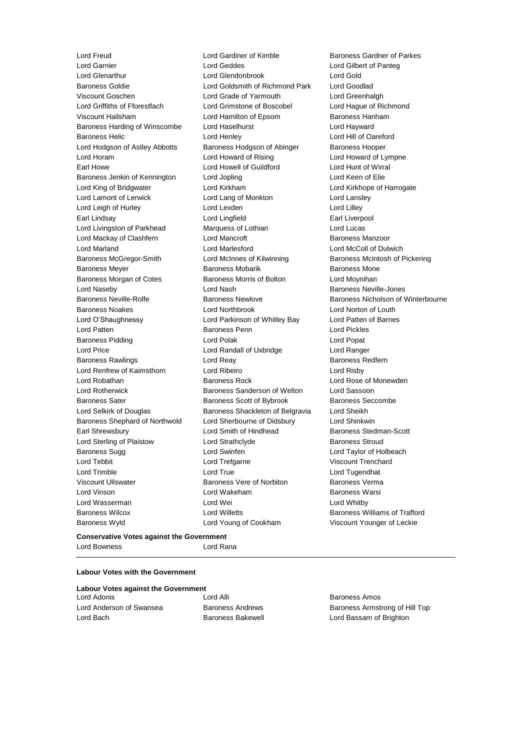Lord Freud **Lord Gardiner of Kimble** Baroness Gardner of Parkes<br>
Lord Garnier **Lord Geddes** Lord Geddes **Lord Gilbert of Pante** a Lord Garnier Lord Geddes Lord Gilbert of Panteg Baroness Goldie Lord Goldsmith of Richmond Park Lord Goodlad Viscount Goschen Lord Grade of Yarmouth Lord Greenhalgh Lord Griffiths of Fforestfach Lord Grimstone of Boscobel Lord Hague of Richmond Viscount Hailsham **Viscount Hangley Constructs** Lord Hamilton of Epsom Baroness Hanham Baroness Harding of Winscombe Lord Haselhurst Lord Hayward Baroness Helic **Lord Henley** Lord Hill of Oareford Lord Hill of Oareford Lord Hodgson of Astley Abbotts Baroness Hodgson of Abinger Baroness Hooper Lord Horam Lord Howard of Rising Lord Howard of Lympne Earl Howe Lord Howell of Guildford Lord Hunt of Wirral Baroness Jenkin of Kennington Lord Jopling Lord Keen of Elie Lord King of Bridgwater Lord Kirkham Lord Kirkhope of Harrogate Lord Lamont of Lerwick Lord Lang of Monkton Lord Lansley Lord Leigh of Hurley Lord Lexden Lord Lilley Earl Lindsay Lord Lingfield Earl Liverpool Lord Livingston of Parkhead Marquess of Lothian and Lord Lucas Lord Mackay of Clashfern **Lord Mancroft Baroness Manzoor** Baroness Manzoor Lord Marland Lord Marlesford Lord McColl of Dulwich Baroness McGregor-Smith Lord McInnes of Kilwinning Baroness McIntosh of Pickering Baroness Meyer **Baroness Mobarik** Baroness Mobarik Baroness Mone Baroness Morgan of Cotes **Baroness Morris of Bolton** Lord Moynihan Lord Naseby **Lord Nash Baroness Neville-Jones** Lord Nash Baroness Neville-Jones Baroness Neville-Rolfe **Baroness Newlove** Baroness Newlove Baroness Nicholson of Winterbourne Baroness Noakes Lord Northbrook Lord Norton of Louth Lord O'Shaughnessy Lord Parkinson of Whitley Bay Lord Patten of Barnes Lord Patten **Baroness Penn** Lord Pickles Baroness Pidding **Lord Polak** Lord Polak Lord Popat Lord Price Lord Randall of Uxbridge Lord Ranger Baroness Rawlings **Reage Exercise Section** Lord Reay **Baroness Redfern** Lord Renfrew of Kaimsthorn Lord Ribeiro Lord Risby Lord Robathan **Baroness Rock** Lord Rose of Monewden Lord Rotherwick Baroness Sanderson of Welton Lord Sassoon Baroness Sater **Baroness Scott of Bybrook** Baroness Seccombe Lord Selkirk of Douglas **Baroness Shackleton of Belgravia** Lord Sheikh Baroness Shephard of Northwold Lord Sherbourne of Didsbury Lord Shinkwin Earl Shrewsbury Lord Smith of Hindhead Baroness Stedman-Scott Lord Sterling of Plaistow Lord Strathclyde **Baroness Stroud** Baroness Sugg **Lord Swinfen** Lord Swinfen Lord Taylor of Holbeach Lord Tebbit Lord Trefgarne Viscount Trenchard Lord Trimble **Lord True** Lord True **Lord True** Lord Tugendhat Viscount Ullswater Baroness Vere of Norbiton Baroness Verma Lord Vinson Lord Wakeham Baroness Warsi Lord Wasserman **Lord Wei** Lord Wei **Lord Whitby** Baroness Wilcox Lord Willetts Baroness Williams of Trafford Baroness Wyld Lord Young of Cookham Viscount Younger of Leckie

Lord Glendonbrook Lord Gold

### **Conservative Votes against the Government** Lord Bowness Lord Rana

### **Labour Votes with the Government**

| Labour Votes against the Government |                          |                                |  |  |  |
|-------------------------------------|--------------------------|--------------------------------|--|--|--|
| Lord Adonis                         | Lord Alli                | Baroness Amos                  |  |  |  |
| Lord Anderson of Swansea            | <b>Baroness Andrews</b>  | Baroness Armstrong of Hill Top |  |  |  |
| Lord Bach                           | <b>Baroness Bakewell</b> | Lord Bassam of Brighton        |  |  |  |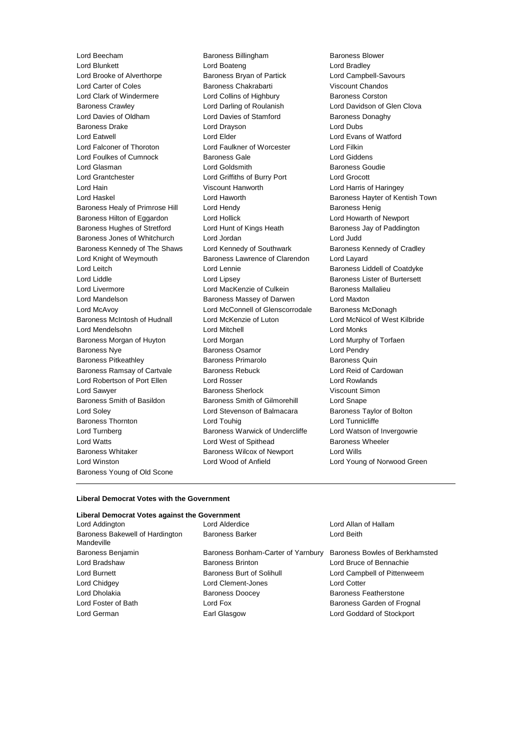Lord Winston Lord Wood of Anfield Lord Young of Norwood Green Baroness Young of Old Scone

Lord Beecham Baroness Billingham Baroness Blower Lord Blunkett Lord Boateng Lord Bradley Lord Brooke of Alverthorpe Baroness Bryan of Partick Lord Campbell-Savours Lord Carter of Coles Baroness Chakrabarti Viscount Chandos Lord Clark of Windermere **Lord Collins of Highbury** Baroness Corston Baroness Crawley Lord Darling of Roulanish Lord Davidson of Glen Clova Lord Davies of Oldham Lord Davies of Stamford Baroness Donaghy Baroness Drake **Lord Drayson** Lord Drayson **Lord Dubs** Lord Eatwell Lord Elder Lord Evans of Watford Lord Falconer of Thoroton Lord Faulkner of Worcester Lord Filkin Lord Foulkes of Cumnock Baroness Gale Lord Giddens Lord Glasman **Lord Goldsmith** Baroness Goudie Lord Grantchester Lord Griffiths of Burry Port Lord Grocott Lord Hain Viscount Hanworth Lord Harris of Haringey Lord Haskel **Lord Haworth Baroness Hayter of Kentish Town** Baroness Healy of Primrose Hill Lord Hendy **Baroness Henig** Baroness Henig Baroness Hilton of Eggardon Lord Hollick Lord House Lord Howarth of Newport<br>Baroness Hughes of Stretford Lord Hunt of Kings Heath Baroness Jay of Paddingt Baroness Hughes of Stretford Lord Hunt of Kings Heath Baroness Jay of Paddington Baroness Jones of Whitchurch Lord Jordan Lord Judd Baroness Kennedy of The Shaws Lord Kennedy of Southwark Baroness Kennedy of Cradley Lord Knight of Weymouth **Baroness Lawrence of Clarendon** Lord Layard Lord Leitch Lord Lennie Baroness Liddell of Coatdyke Lord Liddle Lord Lipsey Baroness Lister of Burtersett Lord Livermore **Lord MacKenzie of Culkein** Baroness Mallalieu Lord Mandelson Baroness Massey of Darwen Lord Maxton Lord McAvoy Lord McConnell of Glenscorrodale Baroness McDonagh Baroness McIntosh of Hudnall Lord McKenzie of Luton Lord McNicol of West Kilbride Lord Mendelsohn Lord Mitchell Lord Monks Baroness Morgan of Huyton Lord Morgan Lord Murphy of Torfaen Baroness Nye Baroness Osamor Lord Pendry Baroness Pitkeathley **Baroness Primarolo** Baroness Quin Baroness Ramsay of Cartvale Baroness Rebuck Lord Reid of Cardowan Lord Robertson of Port Ellen Lord Rosser Lord Rowlands Lord Sawyer **Baroness Sherlock Viscount Simon** Baroness Smith of Basildon Baroness Smith of Gilmorehill Lord Snape Lord Soley **Lord Stevenson of Balmacara** Baroness Taylor of Bolton Baroness Thornton **Lord Touhig** Lord Tunnicliffe Lord Turnberg **Baroness Warwick of Undercliffe** Lord Watson of Invergowrie Lord Watts **Lord West of Spithead** Baroness Wheeler Baroness Whitaker **Baroness Wilcox of Newport** Lord Wills

#### **Liberal Democrat Votes with the Government**

### **Liberal Democrat Votes against the Government**

| Lord Addington                                | Lord Alderdice<br>Lord Allan of Hallam |                                |
|-----------------------------------------------|----------------------------------------|--------------------------------|
| Baroness Bakewell of Hardington<br>Mandeville | <b>Baroness Barker</b>                 | Lord Beith                     |
| Baroness Benjamin                             | Baroness Bonham-Carter of Yarnbury     | Baroness Bowles of Berkhamsted |
| Lord Bradshaw                                 | <b>Baroness Brinton</b>                | Lord Bruce of Bennachie        |
| Lord Burnett                                  | Baroness Burt of Solihull              | Lord Campbell of Pittenweem    |
| Lord Chidgey                                  | Lord Clement-Jones                     | <b>Lord Cotter</b>             |
| Lord Dholakia                                 | <b>Baroness Doocey</b>                 | <b>Baroness Featherstone</b>   |
| Lord Foster of Bath                           | Lord Fox                               | Baroness Garden of Frognal     |
| Lord German                                   | Earl Glasgow                           | Lord Goddard of Stockport      |
|                                               |                                        |                                |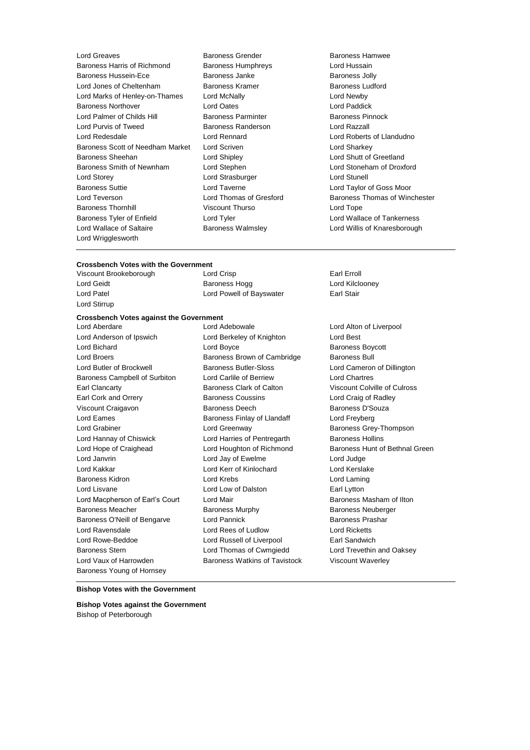Lord Greaves **Baroness Grender** Baroness Hamwee<br>
Baroness Harris of Richmond Baroness Humphrevs **Baroness Harris Action**<br>
Lord Hussain Baroness Harris of Richmond Baroness Humphreys Baroness Hussein-Ece Baroness Janke Baroness Jolly Lord Jones of Cheltenham Baroness Kramer Baroness Ludford Lord Marks of Henley-on-Thames Lord McNally Lord Newby Baroness Northover **Lord Cates** Lord Dates **Lord Dates** Lord Paddick<br>
Lord Palmer of Childs Hill **Baroness Parminter** Baroness Pinnock Lord Palmer of Childs Hill Baroness Parminter Lord Purvis of Tweed Baroness Randerson Lord Razzall Lord Redesdale Lord Rennard Lord Roberts of Llandudno Baroness Scott of Needham Market Lord Scriven Lord Structure Lord Sharkey Baroness Sheehan Lord Shipley Lord Shutt of Greetland Baroness Smith of Newnham Lord Stephen Lord Stoneham of Droxford Lord Storey **Lord Strasburger** Lord Strasburger **Lord Strasburger** Lord Stunell Baroness Suttie Lord Taverne Lord Taylor of Goss Moor Lord Teverson **Lord Thomas of Gresford** Baroness Thomas of Winchester Baroness Thornhill Viscount Thurso Lord Tope Baroness Tyler of Enfield Lord Tyler Lord Wallace of Tankerness Lord Wallace of Saltaire **Baroness Walmsley Lord Willis of Knaresborough** Lord Wrigglesworth

- 
- 

# **Crossbench Votes with the Government**<br>Viscount Brookeborough Lord Crisp

Lord Stirrup

Viscount Brookeborough Lord Crisp Earl Erroll Earl Erroll Lord Geidt **Baroness Hogg Lord Kilclooney Lord Kilclooney** Lord Patel **Lord Powell of Bayswater** Earl Stair

#### **Crossbench Votes against the Government**

Lord Anderson of Ipswich Lord Berkeley of Knighton Lord Best Lord Bichard **Lord Boyce Baroness Boycott Lord Boycott** Lord Broers **Baroness Brown of Cambridge** Baroness Bull Lord Butler of Brockwell Baroness Butler-Sloss Lord Cameron of Dillington Baroness Campbell of Surbiton Lord Carlile of Berriew Lord Chartres Earl Clancarty Baroness Clark of Calton Viscount Colville of Culross Earl Cork and Orrery Baroness Coussins Lord Craig of Radley Viscount Craigavon **Baroness Deech** Baroness Deech Baroness D'Souza Lord Eames **Baroness Finlay of Llandaff** Lord Freyberg Lord Freyberg Lord Grabiner Lord Greenway Baroness Grey-Thompson Lord Hannay of Chiswick **Lord Harries of Pentregarth** Baroness Hollins Lord Hope of Craighead Lord Houghton of Richmond Baroness Hunt of Bethnal Green Lord Janvrin Lord Jay of Ewelme Lord Judge Lord Kakkar Lord Kerr of Kinlochard Lord Kerslake Baroness Kidron **Lord Krebs** Lord Krebs **Lord Laming** Lord Lisvane Lord Low of Dalston Earl Lytton Lord Macpherson of Earl's Court Lord Mair Baroness Masham of Ilton Baroness Meacher **Baroness Murphy** Baroness Neuberger Baroness Neuberger Baroness O'Neill of Bengarve Lord Pannick **Baroness Prashar** Baroness Prashar Lord Ravensdale Lord Rees of Ludlow Lord Ricketts Lord Rowe-Beddoe **Lord Russell of Liverpool Lord Russell** of Liverpool **Earl Sandwich** Baroness Stern **Lord Thomas of Cwmgiedd** Lord Trevethin and Oaksey Lord Vaux of Harrowden **Baroness Watkins of Tavistock** Viscount Waverley Baroness Young of Hornsey

Lord Aberdare Lord Adebowale Lord Alton of Liverpool

#### **Bishop Votes with the Government**

**Bishop Votes against the Government** Bishop of Peterborough